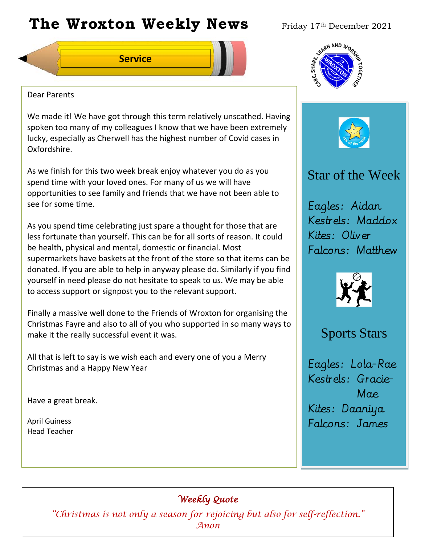# **The Wroxton Weekly News** Friday 17th December 2021

**Service**



### Dear Parents

We made it! We have got through this term relatively unscathed. Having spoken too many of my colleagues I know that we have been extremely lucky, especially as Cherwell has the highest number of Covid cases in Oxfordshire.

As we finish for this two week break enjoy whatever you do as you spend time with your loved ones. For many of us we will have opportunities to see family and friends that we have not been able to see for some time.

As you spend time celebrating just spare a thought for those that are less fortunate than yourself. This can be for all sorts of reason. It could be health, physical and mental, domestic or financial. Most supermarkets have baskets at the front of the store so that items can be donated. If you are able to help in anyway please do. Similarly if you find yourself in need please do not hesitate to speak to us. We may be able to access support or signpost you to the relevant support.

Finally a massive well done to the Friends of Wroxton for organising the Christmas Fayre and also to all of you who supported in so many ways to make it the really successful event it was.

All that is left to say is we wish each and every one of you a Merry Christmas and a Happy New Year

Have a great break.

April Guiness Head Teacher



# Star of the Week

Eagles: Aidan Kestrels: Maddox Kites: Oliver Falcons: Matthew



## Sports Stars

Eagles: Lola-Rae Kestrels: Gracie- Mae Kites: Daaniya Falcons: James

### *Weekly Quote*

**Oct 30 Nov 4 Dec 1 Jan 1** *"Christmas is not only a season for rejoicing but also for self-reflection."*  **Teacher Day** *Anon*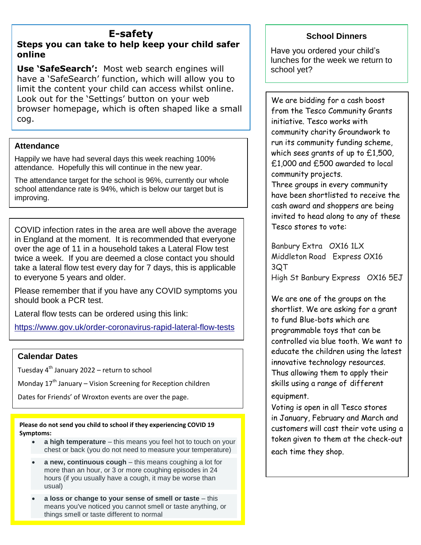# **E-safety**

#### **Steps you can take to help keep your child safer online**

**Use 'SafeSearch':** Most web search engines will have a 'SafeSearch' function, which will allow you to limit the content your child can access whilst online. Look out for the 'Settings' button on your web browser homepage, which is often shaped like a small cog.

#### **Attendance**

Happily we have had several days this week reaching 100% attendance. Hopefully this will continue in the new year.

The attendance target for the school is 96%, currently our whole school attendance rate is 94%, which is below our target but is improving.

COVID infection rates in the area are well above the average in England at the moment. It is recommended that everyone over the age of 11 in a household takes a Lateral Flow test twice a week. If you are deemed a close contact you should take a lateral flow test every day for 7 days, this is applicable to everyone 5 years and older.

Please remember that if you have any COVID symptoms you should book a PCR test.

Lateral flow tests can be ordered using this link:

<https://www.gov.uk/order-coronavirus-rapid-lateral-flow-tests>

#### **Calendar Dates**

Tuesday 4<sup>th</sup> January 2022 – return to school

Monday  $17<sup>th</sup>$  January – Vision Screening for Reception children

Dates for Friends' of Wroxton events are over the page.

**Please do not send you child to school if they experiencing COVID 19 Symptoms:**

- **a high temperature** this means you feel hot to touch on your chest or back (you do not need to measure your temperature)
- **a new, continuous cough** this means coughing a lot for more than an hour, or 3 or more coughing episodes in 24 hours (if you usually have a cough, it may be worse than usual)
- **a loss or change to your sense of smell or taste** this means you've noticed you cannot smell or taste anything, or things smell or taste different to normal

#### **School Dinners**

Have you ordered your child's lunches for the week we return to school yet?

We are bidding for a cash boost from the Tesco Community Grants initiative. Tesco works with community charity Groundwork to run its community funding scheme, which sees grants of up to £1,500, £1,000 and £500 awarded to local community projects.

Three groups in every community have been shortlisted to receive the cash award and shoppers are being invited to head along to any of these Tesco stores to vote:

Banbury Extra OX16 1LX Middleton Road Express OX16 3QT High St Banbury Express OX16 5EJ

We are one of the groups on the shortlist. We are asking for a grant to fund Blue-bots which are programmable toys that can be controlled via blue tooth. We want to educate the children using the latest innovative technology resources. Thus allowing them to apply their skills using a range of different

equipment.

Voting is open in all Tesco stores in January, February and March and customers will cast their vote using a token given to them at the check-out each time they shop.